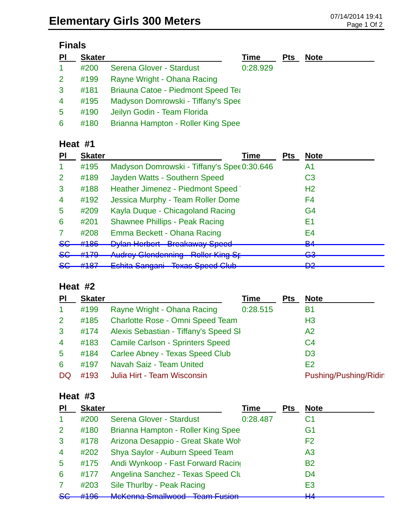## **Finals**

| <b>PI</b>      | <b>Skater</b> |                                           | Time     | <b>Pts</b> | <b>Note</b> |
|----------------|---------------|-------------------------------------------|----------|------------|-------------|
| $\mathbf{1}$   | #200          | Serena Glover - Stardust                  | 0:28.929 |            |             |
| 2 <sup>1</sup> | #199          | Rayne Wright - Ohana Racing               |          |            |             |
| 3              | #181          | <b>Briauna Catoe - Piedmont Speed Tea</b> |          |            |             |
| $\overline{4}$ | #195          | Madyson Domrowski - Tiffany's Spee        |          |            |             |
| $5^{\circ}$    | #190          | Jeilyn Godin - Team Florida               |          |            |             |
| 6              | #180          | Brianna Hampton - Roller King Spee        |          |            |             |

#### **Heat #1**

| ΡI             | <b>Skater</b>                 | Time                                        | <b>Pts</b> | <b>Note</b>         |
|----------------|-------------------------------|---------------------------------------------|------------|---------------------|
|                | #195                          | Madyson Domrowski - Tiffany's Spee 0:30.646 |            | A1                  |
| $\overline{2}$ | #189                          | Jayden Watts - Southern Speed               |            | C <sub>3</sub>      |
| 3              | #188                          | Heather Jimenez - Piedmont Speed            |            | H <sub>2</sub>      |
| $\overline{4}$ | #192                          | Jessica Murphy - Team Roller Dome           |            | F4                  |
| 5              | #209                          | Kayla Duque - Chicagoland Racing            |            | G4                  |
| 6              | #201                          | <b>Shawnee Phillips - Peak Racing</b>       |            | Ε1                  |
|                | #208                          | Emma Beckett - Ohana Racing                 |            | E4                  |
| <del>SG</del>  | #186                          | <b>Dylan Herbert Breakaway Speed</b>        |            | D <sub>A</sub><br>▱ |
| <del>SG</del>  | #179                          | <b>Audrey Glendenning Roller King St</b>    |            | ∩⊇<br>ञ्ज           |
| <del>SG</del>  | <b>4407</b><br>$\pi$ to $\pi$ | Eshita Sangani Texas Speed Club             |            | מח<br>◘             |

### **Heat #2**

| PI             | <b>Skater</b> |                                         | Time     | <b>Pts</b> | <b>Note</b>           |
|----------------|---------------|-----------------------------------------|----------|------------|-----------------------|
| $\mathbf{1}$   | #199          | Rayne Wright - Ohana Racing             | 0:28.515 |            | B1                    |
| 2 <sup>1</sup> | #185          | <b>Charlotte Rose - Omni Speed Team</b> |          |            | H <sub>3</sub>        |
| $\mathbf{3}$   | #174          | Alexis Sebastian - Tiffany's Speed SI   |          |            | A2                    |
| $\overline{4}$ | #183          | <b>Camile Carlson - Sprinters Speed</b> |          |            | C <sub>4</sub>        |
| $5^{\circ}$    | #184          | Carlee Abney - Texas Speed Club         |          |            | D <sub>3</sub>        |
| 6              | #197          | Navah Saiz - Team United                |          |            | E <sub>2</sub>        |
| DQ             | #193          | Julia Hirt - Team Wisconsin             |          |            | Pushing/Pushing/Ridir |

### **Heat #3**

| <b>PI</b>      | <b>Skater</b> |                                                       | Time     | <b>Pts</b> | <b>Note</b>                                 |
|----------------|---------------|-------------------------------------------------------|----------|------------|---------------------------------------------|
|                | #200          | Serena Glover - Stardust                              | 0:28.487 |            | C1                                          |
| 2              | #180          | Brianna Hampton - Roller King Spee                    |          |            | G <sub>1</sub>                              |
| 3              | #178          | Arizona Desappio - Great Skate Wol                    |          |            | F <sub>2</sub>                              |
| $\overline{4}$ | #202          | Shya Saylor - Auburn Speed Team                       |          |            | A <sub>3</sub>                              |
| 5              | #175          | Andi Wynkoop - Fast Forward Racing                    |          |            | <b>B2</b>                                   |
| 6              | #177          | Angelina Sanchez - Texas Speed Clu                    |          |            | D <sub>4</sub>                              |
| 7              | #203          | Sile Thurlby - Peak Racing                            |          |            | E <sub>3</sub>                              |
| <del>SC</del>  | H10c          | McKonna Smallwood - Toam Eucion<br>טטעזווע טווועווייט |          |            | $\mathsf{L}\mathsf{L}\Lambda$<br><b>TTT</b> |